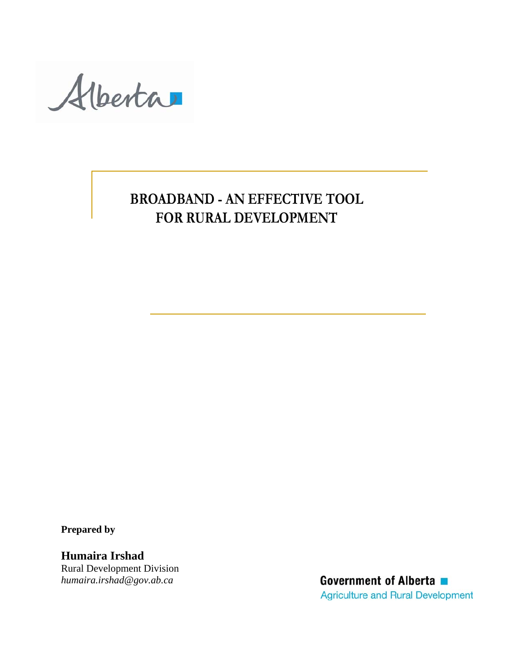Alberta

# **BROADBAND - AN EFFECTIVE TOOL FOR RURAL DEVELOPMENT**

**Prepared by** 

**Humaira Irshad**  Rural Development Division *[humaira.irshad@gov.ab.ca](mailto:humaira.irshad@gov.ab.ca)*

Government of Alberta ■ **Agriculture and Rural Development**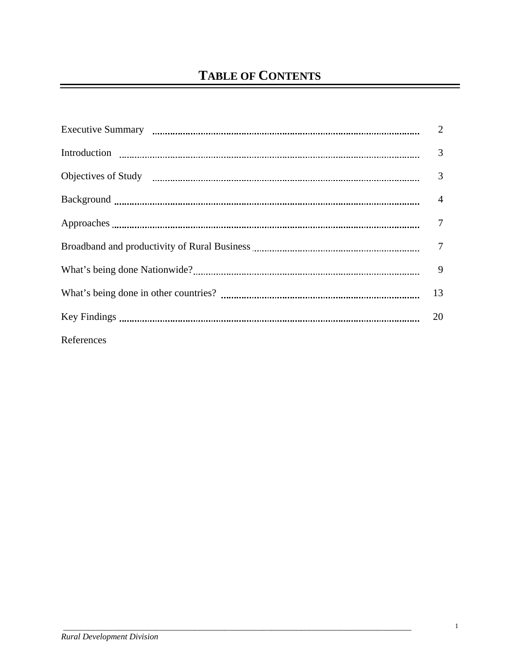|            | $\overline{2}$ |
|------------|----------------|
|            | 3              |
|            | 3              |
|            | $\overline{4}$ |
|            | $\tau$         |
|            | $\overline{7}$ |
|            | 9              |
|            | 13             |
|            | 20             |
| References |                |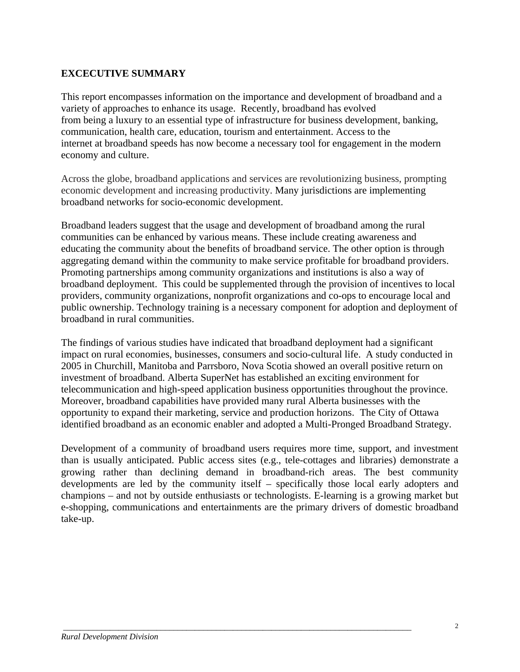### **EXCECUTIVE SUMMARY**

This report encompasses information on the importance and development of broadband and a variety of approaches to enhance its usage. Recently, broadband has evolved from being a luxury to an essential type of infrastructure for business development, banking, communication, health care, education, tourism and entertainment. Access to the internet at broadband speeds has now become a necessary tool for engagement in the modern economy and culture.

Across the globe, broadband applications and services are revolutionizing business, prompting economic development and increasing productivity. Many jurisdictions are implementing broadband networks for socio-economic development.

Broadband leaders suggest that the usage and development of broadband among the rural communities can be enhanced by various means. These include creating awareness and educating the community about the benefits of broadband service. The other option is through aggregating demand within the community to make service profitable for broadband providers. Promoting partnerships among community organizations and institutions is also a way of broadband deployment. This could be supplemented through the provision of incentives to local providers, community organizations, nonprofit organizations and co-ops to encourage local and public ownership. Technology training is a necessary component for adoption and deployment of broadband in rural communities.

The findings of various studies have indicated that broadband deployment had a significant impact on rural economies, businesses, consumers and socio-cultural life. A study conducted in 2005 in Churchill, Manitoba and Parrsboro, Nova Scotia showed an overall positive return on investment of broadband. Alberta SuperNet has established an exciting environment for telecommunication and high-speed application business opportunities throughout the province. Moreover, broadband capabilities have provided many rural Alberta businesses with the opportunity to expand their marketing, service and production horizons. The City of Ottawa identified broadband as an economic enabler and adopted a Multi-Pronged Broadband Strategy.

Development of a community of broadband users requires more time, support, and investment than is usually anticipated. Public access sites (e.g., tele-cottages and libraries) demonstrate a growing rather than declining demand in broadband-rich areas. The best community developments are led by the community itself – specifically those local early adopters and champions – and not by outside enthusiasts or technologists. E-learning is a growing market but e-shopping, communications and entertainments are the primary drivers of domestic broadband take-up.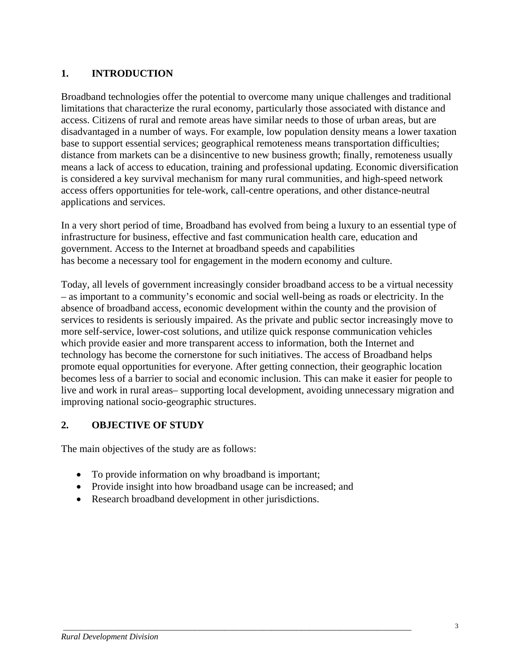### **1. INTRODUCTION**

Broadband technologies offer the potential to overcome many unique challenges and traditional limitations that characterize the rural economy, particularly those associated with distance and access. Citizens of rural and remote areas have similar needs to those of urban areas, but are disadvantaged in a number of ways. For example, low population density means a lower taxation base to support essential services; geographical remoteness means transportation difficulties; distance from markets can be a disincentive to new business growth; finally, remoteness usually means a lack of access to education, training and professional updating. Economic diversification is considered a key survival mechanism for many rural communities, and high-speed network access offers opportunities for tele-work, call-centre operations, and other distance-neutral applications and services.

In a very short period of time, Broadband has evolved from being a luxury to an essential type of infrastructure for business, effective and fast communication health care, education and government. Access to the Internet at broadband speeds and capabilities has become a necessary tool for engagement in the modern economy and culture.

Today, all levels of government increasingly consider broadband access to be a virtual necessity – as important to a community's economic and social well-being as roads or electricity. In the absence of broadband access, economic development within the county and the provision of services to residents is seriously impaired. As the private and public sector increasingly move to more self-service, lower-cost solutions, and utilize quick response communication vehicles which provide easier and more transparent access to information, both the Internet and technology has become the cornerstone for such initiatives. The access of Broadband helps promote equal opportunities for everyone. After getting connection, their geographic location becomes less of a barrier to social and economic inclusion. This can make it easier for people to live and work in rural areas– supporting local development, avoiding unnecessary migration and improving national socio-geographic structures.

#### **2. OBJECTIVE OF STUDY**

The main objectives of the study are as follows:

- To provide information on why broadband is important;
- Provide insight into how broadband usage can be increased; and

 *\_\_\_\_\_\_\_\_\_\_\_\_\_\_\_\_\_\_\_\_\_\_\_\_\_\_\_\_\_\_\_\_\_\_\_\_\_\_\_\_\_\_\_\_\_\_\_\_\_\_\_\_\_\_\_\_\_\_\_\_\_\_\_\_\_\_\_\_\_\_\_\_\_\_\_\_\_\_\_\_\_\_* 

• Research broadband development in other jurisdictions.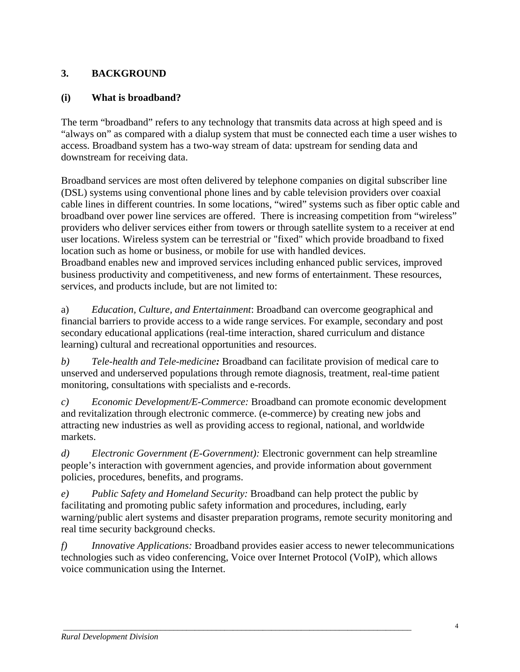### **3. BACKGROUND**

### **(i) What is broadband?**

The term "broadband" refers to any technology that transmits data across at high speed and is "always on" as compared with a dialup system that must be connected each time a user wishes to access. Broadband system has a two-way stream of data: upstream for sending data and downstream for receiving data.

Broadband services are most often delivered by telephone companies on digital subscriber line (DSL) systems using conventional phone lines and by cable television providers over coaxial cable lines in different countries. In some locations, "wired" systems such as fiber optic cable and broadband over power line services are offered. There is increasing competition from "wireless" providers who deliver services either from towers or through satellite system to a receiver at end user locations. Wireless system can be terrestrial or "fixed" which provide broadband to fixed location such as home or business, or mobile for use with handled devices. Broadband enables new and improved services including enhanced public services, improved business productivity and competitiveness, and new forms of entertainment. These resources, services, and products include, but are not limited to:

a) *Education, Culture, and Entertainment*: Broadband can overcome geographical and financial barriers to provide access to a wide range services. For example, secondary and post secondary educational applications (real-time interaction, shared curriculum and distance learning) cultural and recreational opportunities and resources.

*b) Tele-health and Tele-medicine:* Broadband can facilitate provision of medical care to unserved and underserved populations through remote diagnosis, treatment, real-time patient monitoring, consultations with specialists and e-records.

*c) Economic Development/E-Commerce:* Broadband can promote economic development and revitalization through electronic commerce. (e-commerce) by creating new jobs and attracting new industries as well as providing access to regional, national, and worldwide markets.

*d) Electronic Government (E-Government):* Electronic government can help streamline people's interaction with government agencies, and provide information about government policies, procedures, benefits, and programs.

*e) Public Safety and Homeland Security:* Broadband can help protect the public by facilitating and promoting public safety information and procedures, including, early warning/public alert systems and disaster preparation programs, remote security monitoring and real time security background checks.

*f) Innovative Applications:* Broadband provides easier access to newer telecommunications technologies such as video conferencing, Voice over Internet Protocol (VoIP), which allows voice communication using the Internet.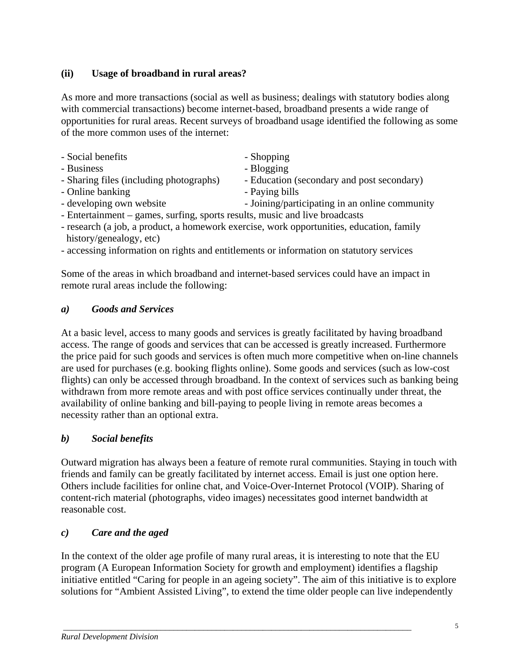### **(ii) Usage of broadband in rural areas?**

As more and more transactions (social as well as business; dealings with statutory bodies along with commercial transactions) become internet-based, broadband presents a wide range of opportunities for rural areas. Recent surveys of broadband usage identified the following as some of the more common uses of the internet:

| - Social benefits                       | - Shopping                                 |
|-----------------------------------------|--------------------------------------------|
| - Business                              | - Blogging                                 |
| - Sharing files (including photographs) | - Education (secondary and post secondary) |
| - Online banking                        | - Paying bills                             |

- developing own website  $\sim$  Joining/participating in an online community
- Entertainment games, surfing, sports results, music and live broadcasts
- research (a job, a product, a homework exercise, work opportunities, education, family history/genealogy, etc)
- accessing information on rights and entitlements or information on statutory services

Some of the areas in which broadband and internet-based services could have an impact in remote rural areas include the following:

#### *a) Goods and Services*

At a basic level, access to many goods and services is greatly facilitated by having broadband access. The range of goods and services that can be accessed is greatly increased. Furthermore the price paid for such goods and services is often much more competitive when on-line channels are used for purchases (e.g. booking flights online). Some goods and services (such as low-cost flights) can only be accessed through broadband. In the context of services such as banking being withdrawn from more remote areas and with post office services continually under threat, the availability of online banking and bill-paying to people living in remote areas becomes a necessity rather than an optional extra.

#### *b) Social benefits*

Outward migration has always been a feature of remote rural communities. Staying in touch with friends and family can be greatly facilitated by internet access. Email is just one option here. Others include facilities for online chat, and Voice-Over-Internet Protocol (VOIP). Sharing of content-rich material (photographs, video images) necessitates good internet bandwidth at reasonable cost.

#### *c) Care and the aged*

In the context of the older age profile of many rural areas, it is interesting to note that the EU program (A European Information Society for growth and employment) identifies a flagship initiative entitled "Caring for people in an ageing society". The aim of this initiative is to explore solutions for "Ambient Assisted Living", to extend the time older people can live independently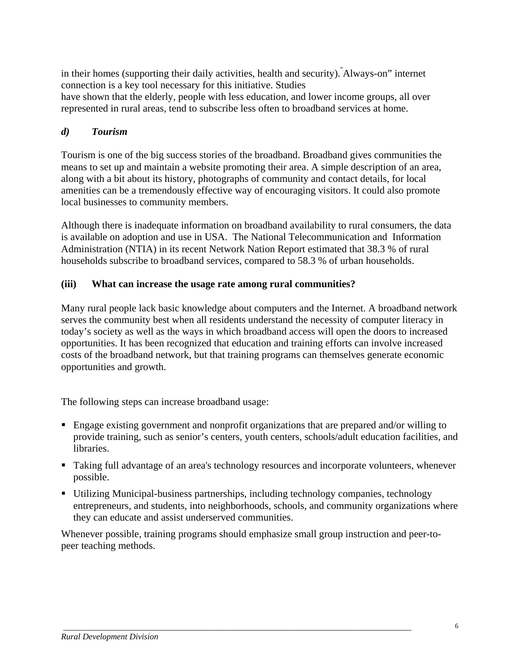in their homes (supporting their daily activities, health and security)." Always-on" internet connection is a key tool necessary for this initiative. Studies have shown that the elderly, people with less education, and lower income groups, all over represented in rural areas, tend to subscribe less often to broadband services at home.

### *d) Tourism*

Tourism is one of the big success stories of the broadband. Broadband gives communities the means to set up and maintain a website promoting their area. A simple description of an area, along with a bit about its history, photographs of community and contact details, for local amenities can be a tremendously effective way of encouraging visitors. It could also promote local businesses to community members.

Although there is inadequate information on broadband availability to rural consumers, the data is available on adoption and use in USA. The National Telecommunication and Information Administration (NTIA) in its recent Network Nation Report estimated that 38.3 % of rural households subscribe to broadband services, compared to 58.3 % of urban households.

#### **(iii) What can increase the usage rate among rural communities?**

Many rural people lack basic knowledge about computers and the Internet. A broadband network serves the community best when all residents understand the necessity of computer literacy in today's society as well as the ways in which broadband access will open the doors to increased opportunities. It has been recognized that education and training efforts can involve increased costs of the broadband network, but that training programs can themselves generate economic opportunities and growth.

The following steps can increase broadband usage:

- Engage existing government and nonprofit organizations that are prepared and/or willing to provide training, such as senior's centers, youth centers, schools/adult education facilities, and libraries.
- Taking full advantage of an area's technology resources and incorporate volunteers, whenever possible.
- Utilizing Municipal-business partnerships, including technology companies, technology entrepreneurs, and students, into neighborhoods, schools, and community organizations where they can educate and assist underserved communities.

Whenever possible, training programs should emphasize small group instruction and peer-topeer teaching methods.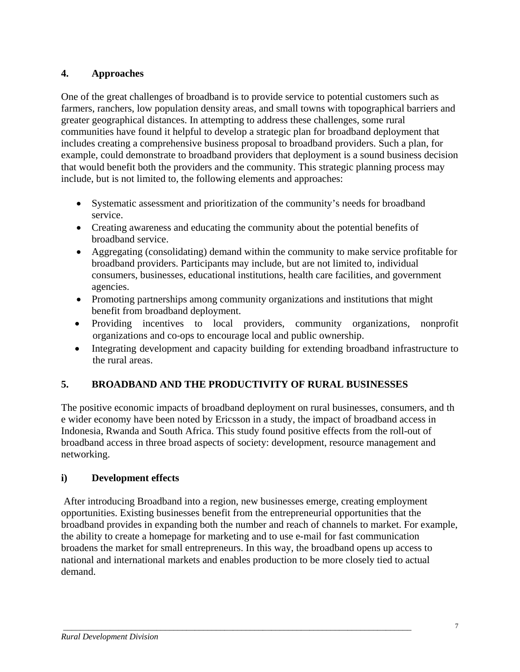### **4. Approaches**

One of the great challenges of broadband is to provide service to potential customers such as farmers, ranchers, low [population density](http://en.wikipedia.org/wiki/Population_density) areas*,* and small towns with topographical barriers and greater geographical distances. In attempting to address these challenges, some rural communities have found it helpful to develop a strategic plan for broadband deployment that includes creating a comprehensive business proposal to broadband providers. Such a plan, for example, could demonstrate to broadband providers that deployment is a sound business decision that would benefit both the providers and the community. This strategic planning process may include, but is not limited to, the following elements and approaches:

- Systematic assessment and prioritization of the community's needs for broadband service.
- Creating awareness and educating the community about the potential benefits of broadband service.
- Aggregating (consolidating) demand within the community to make service profitable for broadband providers. Participants may include, but are not limited to, individual consumers, businesses, educational institutions, health care facilities, and government agencies.
- Promoting partnerships among community organizations and institutions that might benefit from broadband deployment.
- Providing incentives to local providers, community organizations, nonprofit organizations and co‐ops to encourage local and public ownership.
- Integrating development and capacity building for extending broadband infrastructure to the rural areas.

### **5. BROADBAND AND THE PRODUCTIVITY OF RURAL BUSINESSES**

The positive economic impacts of broadband deployment on rural businesses, consumers, and th e wider economy have been noted by Ericsson in a study, the impact of broadband access in Indonesia, Rwanda and South Africa. This study found positive effects from the roll-out of broadband access in three broad aspects of society: development, resource management and networking.

### **i) Development effects**

 After introducing Broadband into a region, new businesses emerge, creating employment opportunities. Existing businesses benefit from the entrepreneurial opportunities that the broadband provides in expanding both the number and reach of channels to market. For example, the ability to create a homepage for marketing and to use e-mail for fast communication broadens the market for small entrepreneurs. In this way, the broadband opens up access to national and international markets and enables production to be more closely tied to actual demand.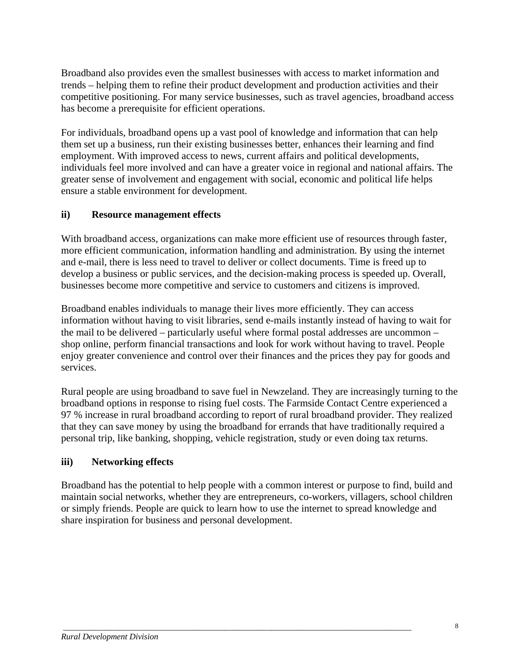Broadband also provides even the smallest businesses with access to market information and trends – helping them to refine their product development and production activities and their competitive positioning. For many service businesses, such as travel agencies, broadband access has become a prerequisite for efficient operations.

For individuals, broadband opens up a vast pool of knowledge and information that can help them set up a business, run their existing businesses better, enhances their learning and find employment. With improved access to news, current affairs and political developments, individuals feel more involved and can have a greater voice in regional and national affairs. The greater sense of involvement and engagement with social, economic and political life helps ensure a stable environment for development.

### **ii) Resource management effects**

With broadband access, organizations can make more efficient use of resources through faster, more efficient communication, information handling and administration. By using the internet and e-mail, there is less need to travel to deliver or collect documents. Time is freed up to develop a business or public services, and the decision-making process is speeded up. Overall, businesses become more competitive and service to customers and citizens is improved.

Broadband enables individuals to manage their lives more efficiently. They can access information without having to visit libraries, send e-mails instantly instead of having to wait for the mail to be delivered – particularly useful where formal postal addresses are uncommon – shop online, perform financial transactions and look for work without having to travel. People enjoy greater convenience and control over their finances and the prices they pay for goods and services.

Rural people are using broadband to save fuel in Newzeland. They are increasingly turning to the broadband options in response to rising fuel costs. The Farmside Contact Centre experienced a 97 % increase in rural broadband according to report of rural broadband provider. They realized that they can save money by using the broadband for errands that have traditionally required a personal trip, like banking, shopping, vehicle registration, study or even doing tax returns.

### **iii) Networking effects**

Broadband has the potential to help people with a common interest or purpose to find, build and maintain social networks, whether they are entrepreneurs, co-workers, villagers, school children or simply friends. People are quick to learn how to use the internet to spread knowledge and share inspiration for business and personal development.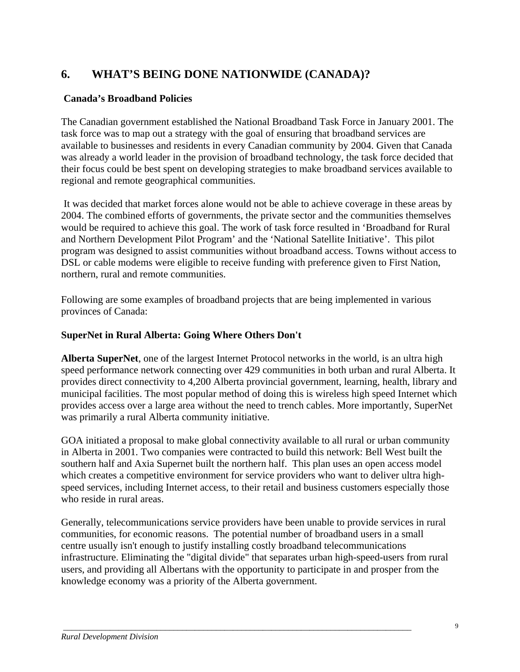## **6. WHAT'S BEING DONE NATIONWIDE (CANADA)?**

#### **Canada's Broadband Policies**

The Canadian government established the National Broadband Task Force in January 2001. The task force was to map out a strategy with the goal of ensuring that broadband services are available to businesses and residents in every Canadian community by 2004. Given that Canada was already a world leader in the provision of broadband technology, the task force decided that their focus could be best spent on developing strategies to make broadband services available to regional and remote geographical communities.

 It was decided that market forces alone would not be able to achieve coverage in these areas by 2004. The combined efforts of governments, the private sector and the communities themselves would be required to achieve this goal. The work of task force resulted in 'Broadband for Rural and Northern Development Pilot Program' and the 'National Satellite Initiative'. This pilot program was designed to assist communities without broadband access. Towns without access to DSL or cable modems were eligible to receive funding with preference given to First Nation, northern, rural and remote communities.

Following are some examples of broadband projects that are being implemented in various provinces of Canada:

#### **SuperNet in Rural Alberta: Going Where Others Don't**

**Alberta SuperNet**, one of the largest Internet Protocol networks in the world, is an ultra high speed performance network connecting over 429 communities in both urban and rural Alberta. It provides direct connectivity to 4,200 Alberta provincial government, learning, health, library and municipal facilities. The most popular method of doing this is wireless high speed Internet which provides access over a large area without the need to trench cables. More importantly, SuperNet was primarily a rural Alberta community initiative.

GOA initiated a proposal to make global connectivity available to all rural or urban community in Alberta in 2001. Two companies were contracted to build this network: Bell West built the southern half and Axia Supernet built the northern half. This plan uses an open access model which creates a competitive environment for service providers who want to deliver ultra highspeed services, including Internet access, to their retail and business customers especially those who reside in rural areas.

Generally, telecommunications service providers have been unable to provide services in rural communities, for economic reasons. The potential number of broadband users in a small centre usually isn't enough to justify installing costly broadband telecommunications infrastructure. Eliminating the "digital divide" that separates urban high-speed-users from rural users, and providing all Albertans with the opportunity to participate in and prosper from the knowledge economy was a priority of the Alberta government.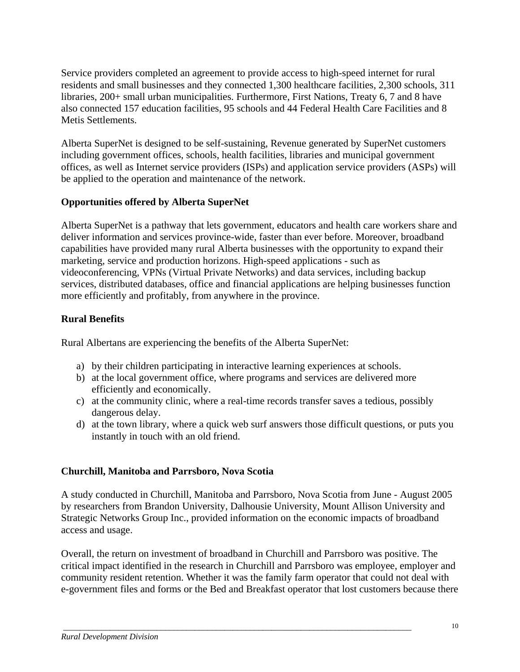Service providers completed an agreement to provide access to high-speed internet for rural residents and small businesses and they connected 1,300 healthcare facilities, 2,300 schools, 311 libraries, 200+ small urban municipalities. Furthermore, First Nations, Treaty 6, 7 and 8 have also connected 157 education facilities, 95 schools and 44 Federal Health Care Facilities and 8 Metis Settlements.

Alberta SuperNet is designed to be self-sustaining, Revenue generated by SuperNet customers including government offices, schools, health facilities, libraries and municipal government offices, as well as Internet service providers (ISPs) and application service providers (ASPs) will be applied to the operation and maintenance of the network.

#### **Opportunities offered by Alberta SuperNet**

Alberta SuperNet is a pathway that lets government, educators and health care workers share and deliver information and services province-wide, faster than ever before. Moreover, broadband capabilities have provided many rural Alberta businesses with the opportunity to expand their marketing, service and production horizons. High-speed applications - such as videoconferencing, VPNs (Virtual Private Networks) and data services, including backup services, distributed databases, office and financial applications are helping businesses function more efficiently and profitably, from anywhere in the province.

### **Rural Benefits**

Rural Albertans are experiencing the benefits of the Alberta SuperNet:

- a) by their children participating in interactive learning experiences at schools.
- b) at the local government office, where programs and services are delivered more efficiently and economically.
- c) at the community clinic, where a real-time records transfer saves a tedious, possibly dangerous delay.
- d) at the town library, where a quick web surf answers those difficult questions, or puts you instantly in touch with an old friend.

### **Churchill, Manitoba and Parrsboro, Nova Scotia**

A study conducted in Churchill, Manitoba and Parrsboro, Nova Scotia from June - August 2005 by researchers from Brandon University, Dalhousie University, Mount Allison University and Strategic Networks Group Inc., provided information on the economic impacts of broadband access and usage.

Overall, the return on investment of broadband in Churchill and Parrsboro was positive. The critical impact identified in the research in Churchill and Parrsboro was employee, employer and community resident retention. Whether it was the family farm operator that could not deal with e-government files and forms or the Bed and Breakfast operator that lost customers because there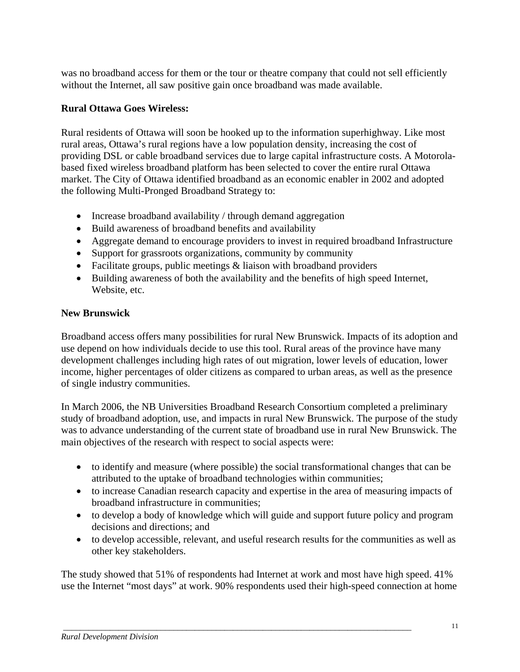was no broadband access for them or the tour or theatre company that could not sell efficiently without the Internet, all saw positive gain once broadband was made available.

### **Rural Ottawa Goes Wireless:**

Rural residents of Ottawa will soon be hooked up to the information superhighway. Like most rural areas, Ottawa's rural regions have a low population density, increasing the cost of providing DSL or cable broadband services due to large capital infrastructure costs. A Motorolabased fixed wireless broadband platform has been selected to cover the entire rural Ottawa market. The City of Ottawa identified broadband as an economic enabler in 2002 and adopted the following Multi-Pronged Broadband Strategy to:

- Increase broadband availability / through demand aggregation
- Build awareness of broadband benefits and availability
- Aggregate demand to encourage providers to invest in required broadband Infrastructure
- Support for grassroots organizations, community by community
- Facilitate groups, public meetings & liaison with broadband providers
- Building awareness of both the availability and the benefits of high speed Internet, Website, etc.

#### **New Brunswick**

Broadband access offers many possibilities for rural New Brunswick. Impacts of its adoption and use depend on how individuals decide to use this tool. Rural areas of the province have many development challenges including high rates of out migration, lower levels of education, lower income, higher percentages of older citizens as compared to urban areas, as well as the presence of single industry communities.

In March 2006, the NB Universities Broadband Research Consortium completed a preliminary study of broadband adoption, use, and impacts in rural New Brunswick. The purpose of the study was to advance understanding of the current state of broadband use in rural New Brunswick. The main objectives of the research with respect to social aspects were:

- to identify and measure (where possible) the social transformational changes that can be attributed to the uptake of broadband technologies within communities;
- to increase Canadian research capacity and expertise in the area of measuring impacts of broadband infrastructure in communities;
- to develop a body of knowledge which will guide and support future policy and program decisions and directions; and
- to develop accessible, relevant, and useful research results for the communities as well as other key stakeholders.

The study showed that 51% of respondents had Internet at work and most have high speed. 41% use the Internet "most days" at work. 90% respondents used their high-speed connection at home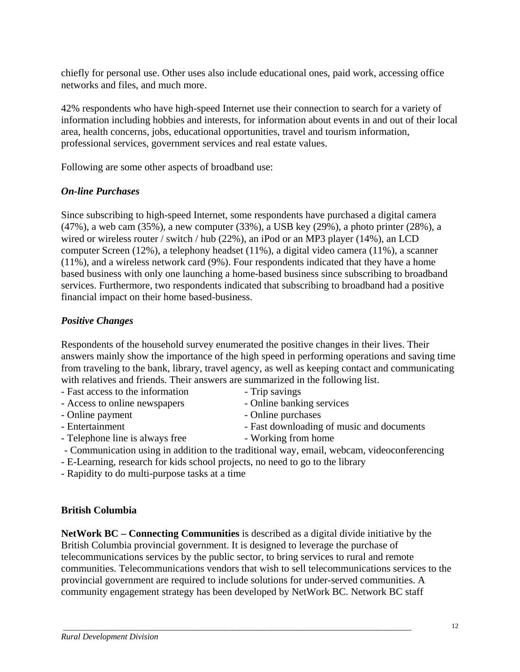chiefly for personal use. Other uses also include educational ones, paid work, accessing office networks and files, and much more.

42% respondents who have high-speed Internet use their connection to search for a variety of information including hobbies and interests, for information about events in and out of their local area, health concerns, jobs, educational opportunities, travel and tourism information, professional services, government services and real estate values.

Following are some other aspects of broadband use:

#### *On-line Purchases*

Since subscribing to high-speed Internet, some respondents have purchased a digital camera (47%), a web cam (35%), a new computer (33%), a USB key (29%), a photo printer (28%), a wired or wireless router / switch / hub (22%), an iPod or an MP3 player (14%), an LCD computer Screen (12%), a telephony headset (11%), a digital video camera (11%), a scanner (11%), and a wireless network card (9%). Four respondents indicated that they have a home based business with only one launching a home-based business since subscribing to broadband services. Furthermore, two respondents indicated that subscribing to broadband had a positive financial impact on their home based-business.

#### *Positive Changes*

Respondents of the household survey enumerated the positive changes in their lives. Their answers mainly show the importance of the high speed in performing operations and saving time from traveling to the bank, library, travel agency, as well as keeping contact and communicating with relatives and friends. Their answers are summarized in the following list.

- Fast access to the information Trip savings
- Access to online newspapers Online banking services
- Online payment Online purchases
- Entertainment Fast downloading of music and documents
- Telephone line is always free Working from home
- 
- Communication using in addition to the traditional way, email, webcam, videoconferencing
- E-Learning, research for kids school projects, no need to go to the library
- Rapidity to do multi-purpose tasks at a time

#### **British Columbia**

**NetWork BC – Connecting Communities** is described as a digital divide initiative by the British Columbia provincial government. It is designed to leverage the purchase of telecommunications services by the public sector, to bring services to rural and remote communities. Telecommunications vendors that wish to sell telecommunications services to the provincial government are required to include solutions for under-served communities. A community engagement strategy has been developed by NetWork BC. Network BC staff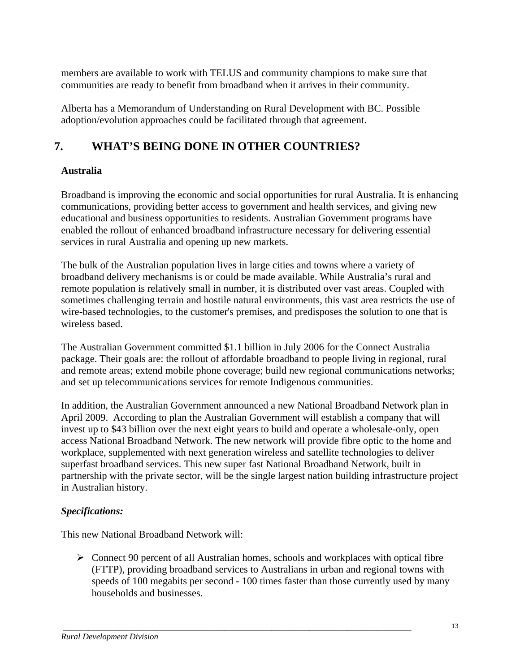members are available to work with TELUS and community champions to make sure that communities are ready to benefit from broadband when it arrives in their community.

Alberta has a Memorandum of Understanding on Rural Development with BC. Possible adoption/evolution approaches could be facilitated through that agreement.

# **7. WHAT'S BEING DONE IN OTHER COUNTRIES?**

### **Australia**

Broadband is improving the economic and social opportunities for rural Australia. It is enhancing communications, providing better access to government and health services, and giving new educational and business opportunities to residents. Australian Government programs have enabled the rollout of enhanced broadband infrastructure necessary for delivering essential services in rural Australia and opening up new markets.

The bulk of the Australian population lives in large cities and towns where a variety of broadband delivery mechanisms is or could be made available. While Australia's rural and remote population is relatively small in number, it is distributed over vast areas. Coupled with sometimes challenging terrain and hostile natural environments, this vast area restricts the use of wire-based technologies, to the customer's premises, and predisposes the solution to one that is wireless based.

The Australian Government committed \$1.1 billion in July 2006 for the Connect Australia package. Their goals are: the rollout of affordable broadband to people living in regional, rural and remote areas; extend mobile phone coverage; build new regional communications networks; and set up telecommunications services for remote Indigenous communities.

In addition, the Australian Government announced a new National Broadband Network plan in April 2009. According to plan the Australian Government will establish a company that will invest up to \$43 billion over the next eight years to build and operate a wholesale-only, open access National Broadband Network. The new network will provide fibre optic to the home and workplace, supplemented with next generation wireless and satellite technologies to deliver superfast broadband services. This new super fast National Broadband Network, built in partnership with the private sector, will be the single largest nation building infrastructure project in Australian history.

### *Specifications:*

This new National Broadband Network will:

 $\triangleright$  Connect 90 percent of all Australian homes, schools and workplaces with optical fibre (FTTP), providing broadband services to Australians in urban and regional towns with speeds of 100 megabits per second - 100 times faster than those currently used by many households and businesses.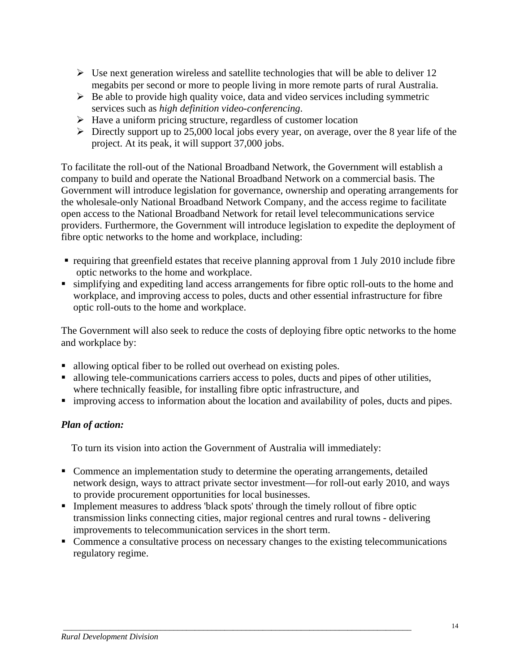- $\triangleright$  Use next generation wireless and satellite technologies that will be able to deliver 12 megabits per second or more to people living in more remote parts of rural Australia.
- $\triangleright$  Be able to provide high quality voice, data and video services including symmetric services such as *[high definition](http://en.wikipedia.org/wiki/High-definition_video) [video-conferencing](http://en.wikipedia.org/wiki/Video-conferencing)*.
- $\triangleright$  Have a uniform pricing structure, regardless of customer location
- $\triangleright$  Directly support up to 25,000 local jobs every year, on average, over the 8 year life of the project. At its peak, it will support 37,000 jobs.

To facilitate the roll-out of the National Broadband Network, the Government will establish a company to build and operate the National Broadband Network on a commercial basis. The Government will introduce legislation for governance, ownership and operating arrangements for the wholesale-only National Broadband Network Company, and the access regime to facilitate open access to the National Broadband Network for retail level telecommunications service providers. Furthermore, the Government will introduce legislation to expedite the deployment of fibre optic networks to the home and workplace, including:

- requiring that greenfield estates that receive planning approval from 1 July 2010 include fibre optic networks to the home and workplace.
- simplifying and expediting land access arrangements for fibre optic roll-outs to the home and workplace, and improving access to poles, ducts and other essential infrastructure for fibre optic roll-outs to the home and workplace.

The Government will also seek to reduce the costs of deploying fibre optic networks to the home and workplace by:

- allowing optical fiber to be rolled out overhead on existing poles.
- allowing tele-communications carriers access to poles, ducts and pipes of other utilities, where technically feasible, for installing fibre optic infrastructure, and
- **improving access to information about the location and availability of poles, ducts and pipes.**

### *Plan of action:*

To turn its vision into action the Government of Australia will immediately:

- Commence an implementation study to determine the operating arrangements, detailed network design, ways to attract private sector investment—for roll-out early 2010, and ways to provide procurement opportunities for local businesses.
- **Implement measures to address 'black spots' through the timely rollout of fibre optic** transmission links connecting cities, major regional centres and rural towns - delivering improvements to telecommunication services in the short term.

 *\_\_\_\_\_\_\_\_\_\_\_\_\_\_\_\_\_\_\_\_\_\_\_\_\_\_\_\_\_\_\_\_\_\_\_\_\_\_\_\_\_\_\_\_\_\_\_\_\_\_\_\_\_\_\_\_\_\_\_\_\_\_\_\_\_\_\_\_\_\_\_\_\_\_\_\_\_\_\_\_\_\_* 

• Commence a consultative process on necessary changes to the existing telecommunications regulatory regime.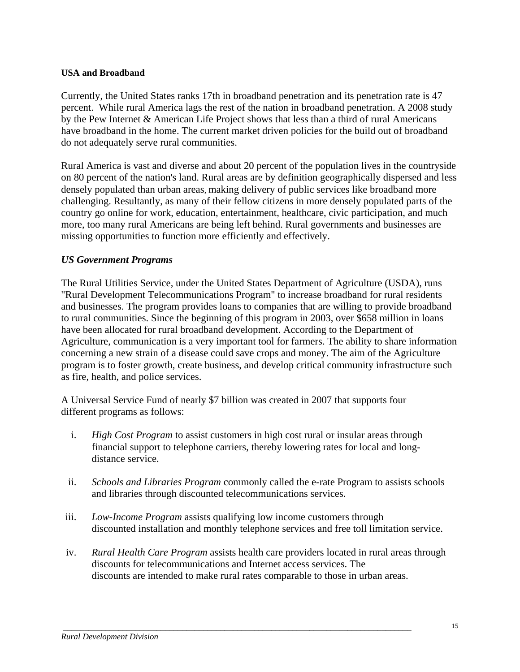#### **USA and Broadband**

Currently, the United States ranks 17th in broadband penetration and its penetration rate is 47 percent. While rural America lags the rest of the nation in broadband penetration. A 2008 study by the Pew Internet & American Life Project shows that less than a third of rural Americans have broadband in the home. The current market driven policies for the build out of broadband do not adequately serve rural communities.

Rural America is vast and diverse and about 20 percent of the population lives in the countryside on 80 percent of the nation's land. Rural areas are by definition geographically dispersed and less densely populated than urban areas, making delivery of public services like broadband more challenging. Resultantly, as many of their fellow citizens in more densely populated parts of the country go online for work, education, entertainment, healthcare, civic participation, and much more, too many rural Americans are being left behind. Rural governments and businesses are missing opportunities to function more efficiently and effectively.

#### *US Government Programs*

The Rural Utilities Service, under the United States Department of Agriculture (USDA), runs "Rural Development Telecommunications Program" to increase broadband for rural residents and businesses. The program provides loans to companies that are willing to provide broadband to rural communities. Since the beginning of this program in 2003, over \$658 million in loans have been allocated for rural broadband development. According to the Department of Agriculture, communication is a very important tool for farmers. The ability to share information concerning a new strain of a disease could save crops and money. The aim of the Agriculture program is to foster growth, create business, and develop critical community infrastructure such as fire, health, and police services.

A Universal Service Fund of nearly \$7 billion was created in 2007 that supports four different programs as follows:

- i. *High Cost Program* to assist customers in high cost rural or insular areas through financial support to telephone carriers, thereby lowering rates for local and longdistance service.
- ii. *Schools and Libraries Program* commonly called the e-rate Program to assists schools and libraries through discounted telecommunications services.
- iii. *Low-Income Program* assists qualifying low income customers through discounted installation and monthly telephone services and free toll limitation service.
- iv. *Rural Health Care Program* assists health care providers located in rural areas through discounts for telecommunications and Internet access services. The discounts are intended to make rural rates comparable to those in urban areas.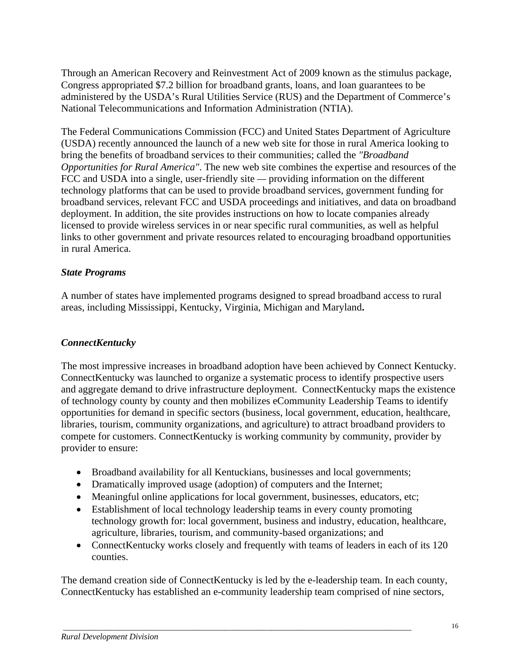Through an American Recovery and Reinvestment Act of 2009 known as the stimulus package, Congress appropriated \$7.2 billion for broadband grants, loans, and loan guarantees to be administered by the USDA's Rural Utilities Service (RUS) and the Department of Commerce's National Telecommunications and Information Administration (NTIA).

The Federal Communications Commission (FCC) and United States Department of Agriculture (USDA) recently announced the launch of a new web site for those in rural America looking to bring the benefits of broadband services to their communities; called the *"Broadband Opportunities for Rural America"*. The new web site combines the expertise and resources of the FCC and USDA into a single, user-friendly site *—* providing information on the different technology platforms that can be used to provide broadband services, government funding for broadband services, relevant FCC and USDA proceedings and initiatives, and data on broadband deployment. In addition, the site provides instructions on how to locate companies already licensed to provide wireless services in or near specific rural communities, as well as helpful links to other government and private resources related to encouraging broadband opportunities in rural America.

#### *State Programs*

A number of states have implemented programs designed to spread broadband access to rural areas, including Mississippi, Kentucky, Virginia, Michigan and Maryland**.** 

#### *ConnectKentucky*

The most impressive increases in broadband adoption have been achieved by Connect Kentucky. ConnectKentucky was launched to organize a systematic process to identify prospective users and aggregate demand to drive infrastructure deployment. ConnectKentucky maps the existence of technology county by county and then mobilizes eCommunity Leadership Teams to identify opportunities for demand in specific sectors (business, local government, education, healthcare, libraries, tourism, community organizations, and agriculture) to attract broadband providers to compete for customers. ConnectKentucky is working community by community, provider by provider to ensure:

- Broadband availability for all Kentuckians, businesses and local governments;
- Dramatically improved usage (adoption) of computers and the Internet;
- Meaningful online applications for local government, businesses, educators, etc;
- Establishment of local technology leadership teams in every county promoting technology growth for: local government, business and industry, education, healthcare, agriculture, libraries, tourism, and community-based organizations; and
- Connect Kentucky works closely and frequently with teams of leaders in each of its 120 counties.

The demand creation side of ConnectKentucky is led by the e-leadership team. In each county, ConnectKentucky has established an e-community leadership team comprised of nine sectors,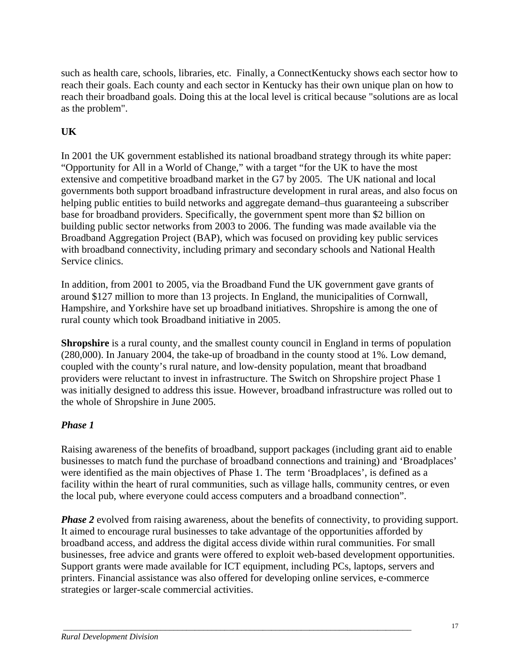such as health care, schools, libraries, etc. Finally, a ConnectKentucky shows each sector how to reach their goals. Each county and each sector in Kentucky has their own unique plan on how to reach their broadband goals. Doing this at the local level is critical because "solutions are as local as the problem".

### **UK**

In 2001 the UK government established its national broadband strategy through its white paper: "Opportunity for All in a World of Change," with a target "for the UK to have the most extensive and competitive broadband market in the G7 by 2005. The UK national and local governments both support broadband infrastructure development in rural areas, and also focus on helping public entities to build networks and aggregate demand–thus guaranteeing a subscriber base for broadband providers. Specifically, the government spent more than \$2 billion on building public sector networks from 2003 to 2006. The funding was made available via the Broadband Aggregation Project (BAP), which was focused on providing key public services with broadband connectivity, including primary and secondary schools and National Health Service clinics.

In addition, from 2001 to 2005, via the Broadband Fund the UK government gave grants of around \$127 million to more than 13 projects. In England, the municipalities of Cornwall, Hampshire, and Yorkshire have set up broadband initiatives. Shropshire is among the one of rural county which took Broadband initiative in 2005.

**Shropshire** is a rural county, and the smallest county council in England in terms of population (280,000). In January 2004, the take-up of broadband in the county stood at 1%. Low demand, coupled with the county's rural nature, and low-density population, meant that broadband providers were reluctant to invest in infrastructure. The Switch on Shropshire project Phase 1 was initially designed to address this issue. However, broadband infrastructure was rolled out to the whole of Shropshire in June 2005.

### *Phase 1*

Raising awareness of the benefits of broadband, support packages (including grant aid to enable businesses to match fund the purchase of broadband connections and training) and 'Broadplaces' were identified as the main objectives of Phase 1. The term 'Broadplaces', is defined as a facility within the heart of rural communities, such as village halls, community centres, or even the local pub, where everyone could access computers and a broadband connection".

*Phase 2* evolved from raising awareness, about the benefits of connectivity, to providing support. It aimed to encourage rural businesses to take advantage of the opportunities afforded by broadband access, and address the digital access divide within rural communities. For small businesses, free advice and grants were offered to exploit web-based development opportunities. Support grants were made available for ICT equipment, including PCs, laptops, servers and printers. Financial assistance was also offered for developing online services, e-commerce strategies or larger-scale commercial activities.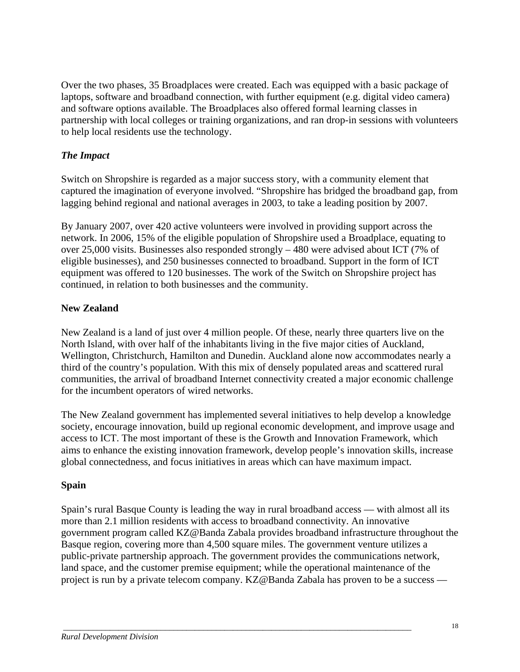Over the two phases, 35 Broadplaces were created. Each was equipped with a basic package of laptops, software and broadband connection, with further equipment (e.g. digital video camera) and software options available. The Broadplaces also offered formal learning classes in partnership with local colleges or training organizations, and ran drop-in sessions with volunteers to help local residents use the technology.

### *The Impact*

Switch on Shropshire is regarded as a major success story, with a community element that captured the imagination of everyone involved. "Shropshire has bridged the broadband gap, from lagging behind regional and national averages in 2003, to take a leading position by 2007.

By January 2007, over 420 active volunteers were involved in providing support across the network. In 2006, 15% of the eligible population of Shropshire used a Broadplace, equating to over 25,000 visits. Businesses also responded strongly – 480 were advised about ICT (7% of eligible businesses), and 250 businesses connected to broadband. Support in the form of ICT equipment was offered to 120 businesses. The work of the Switch on Shropshire project has continued, in relation to both businesses and the community.

### **New Zealand**

New Zealand is a land of just over 4 million people. Of these, nearly three quarters live on the North Island, with over half of the inhabitants living in the five major cities of Auckland, Wellington, Christchurch, Hamilton and Dunedin. Auckland alone now accommodates nearly a third of the country's population. With this mix of densely populated areas and scattered rural communities, the arrival of broadband Internet connectivity created a major economic challenge for the incumbent operators of wired networks.

The New Zealand government has implemented several initiatives to help develop a knowledge society, encourage innovation, build up regional economic development, and improve usage and access to ICT. The most important of these is the Growth and Innovation Framework, which aims to enhance the existing innovation framework, develop people's innovation skills, increase global connectedness, and focus initiatives in areas which can have maximum impact.

### **Spain**

Spain's rural Basque County is leading the way in rural broadband access — with almost all its more than 2.1 million residents with access to broadband connectivity. An innovative government program called KZ@Banda Zabala provides broadband infrastructure throughout the Basque region, covering more than 4,500 square miles. The government venture utilizes a public-private partnership approach. The government provides the communications network, land space, and the customer premise equipment; while the operational maintenance of the project is run by a private telecom company. KZ@Banda Zabala has proven to be a success —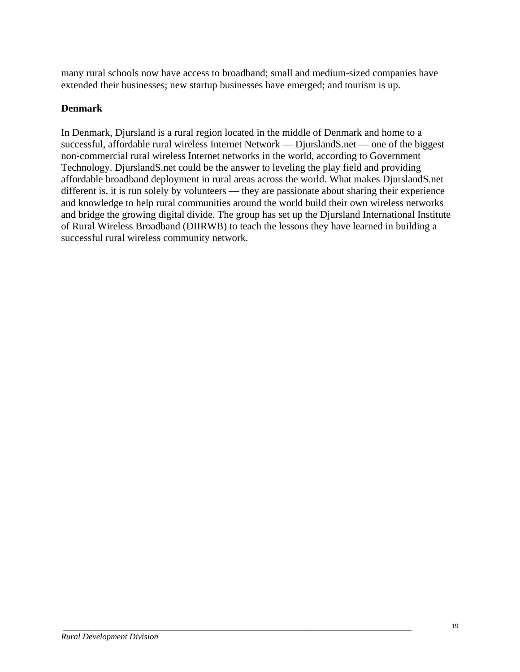many rural schools now have access to broadband; small and medium-sized companies have extended their businesses; new startup businesses have emerged; and tourism is up.

### **Denmark**

In Denmark, Djursland is a rural region located in the middle of Denmark and home to a successful, affordable rural wireless Internet Network — DjurslandS.net — one of the biggest non-commercial rural wireless Internet networks in the world, according to Government Technology. DjurslandS.net could be the answer to leveling the play field and providing affordable broadband deployment in rural areas across the world. What makes DjurslandS.net different is, it is run solely by volunteers — they are passionate about sharing their experience and knowledge to help rural communities around the world build their own wireless networks and bridge the growing digital divide. The group has set up the Djursland International Institute of Rural Wireless Broadband (DIIRWB) to teach the lessons they have learned in building a successful rural wireless community network.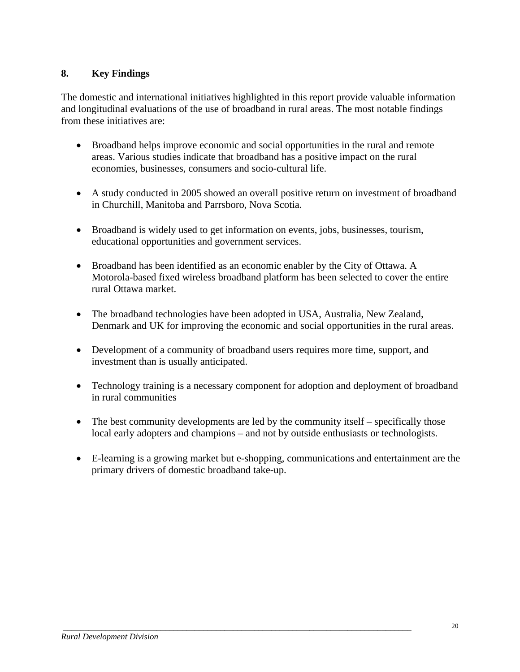### **8. Key Findings**

The domestic and international initiatives highlighted in this report provide valuable information and longitudinal evaluations of the use of broadband in rural areas. The most notable findings from these initiatives are:

- Broadband helps improve economic and social opportunities in the rural and remote areas. Various studies indicate that broadband has a positive impact on the rural economies, businesses, consumers and socio-cultural life.
- A study conducted in 2005 showed an overall positive return on investment of broadband in Churchill, Manitoba and Parrsboro, Nova Scotia.
- Broadband is widely used to get information on events, jobs, businesses, tourism, educational opportunities and government services.
- Broadband has been identified as an economic enabler by the City of Ottawa. A Motorola-based fixed wireless broadband platform has been selected to cover the entire rural Ottawa market.
- The broadband technologies have been adopted in USA, Australia, New Zealand, Denmark and UK for improving the economic and social opportunities in the rural areas.
- Development of a community of broadband users requires more time, support, and investment than is usually anticipated.
- Technology training is a necessary component for adoption and deployment of broadband in rural communities
- The best community developments are led by the community itself specifically those local early adopters and champions – and not by outside enthusiasts or technologists.

 *\_\_\_\_\_\_\_\_\_\_\_\_\_\_\_\_\_\_\_\_\_\_\_\_\_\_\_\_\_\_\_\_\_\_\_\_\_\_\_\_\_\_\_\_\_\_\_\_\_\_\_\_\_\_\_\_\_\_\_\_\_\_\_\_\_\_\_\_\_\_\_\_\_\_\_\_\_\_\_\_\_\_* 

• E-learning is a growing market but e-shopping, communications and entertainment are the primary drivers of domestic broadband take-up.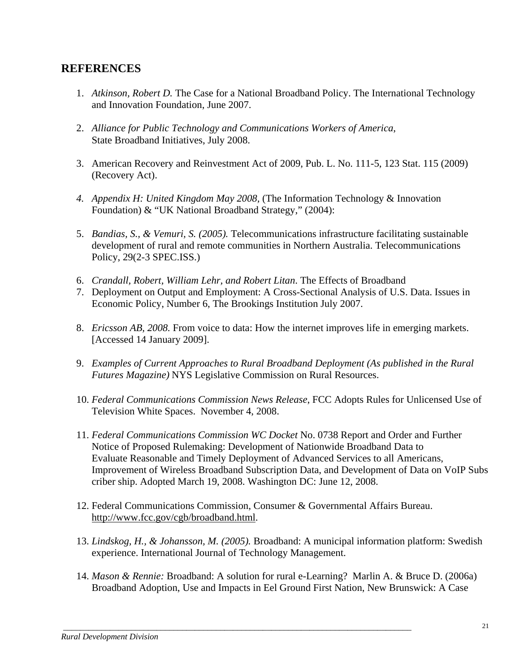### **REFERENCES**

- 1. *Atkinson, Robert D.* The Case for a National Broadband Policy. The International Technology and Innovation Foundation, June 2007.
- 2. *Alliance for Public Technology and Communications Workers of America*, State Broadband Initiatives, July 2008.
- 3. American Recovery and Reinvestment Act of 2009, Pub. L. No. 111-5, 123 Stat. 115 (2009) (Recovery Act).
- *4. Appendix H: United Kingdom May 2008,* (The Information Technology & Innovation Foundation) & "UK National Broadband Strategy," (2004):
- 5. *Bandias, S., & Vemuri, S. (2005).* Telecommunications infrastructure facilitating sustainable development of rural and remote communities in Northern Australia. Telecommunications Policy, 29(2-3 SPEC.ISS.)
- 6. *Crandall, Robert, William Lehr, and Robert Litan*. The Effects of Broadband
- 7. Deployment on Output and Employment: A Cross-Sectional Analysis of U.S. Data. Issues in Economic Policy, Number 6, The Brookings Institution July 2007.
- 8. *Ericsson AB, 2008.* From voice to data: How the internet improves life in emerging markets. [Accessed 14 January 2009].
- 9. *Examples of Current Approaches to Rural Broadband Deployment (As published in the Rural Futures Magazine)* NYS Legislative Commission on Rural Resources.
- 10. *Federal Communications Commission News Release*, FCC Adopts Rules for Unlicensed Use of Television White Spaces. November 4, 2008.
- 11. *Federal Communications Commission WC Docket* No. 0738 Report and Order and Further Notice of Proposed Rulemaking: Development of Nationwide Broadband Data to Evaluate Reasonable and Timely Deployment of Advanced Services to all Americans, Improvement of Wireless Broadband Subscription Data, and Development of Data on VoIP Subs criber ship. Adopted March 19, 2008. Washington DC: June 12, 2008.
- 12. Federal Communications Commission, Consumer & Governmental Affairs Bureau. http://www.fcc.gov/cgb/broadband.html.

- 13. *Lindskog, H., & Johansson, M. (2005).* Broadband: A municipal information platform: Swedish experience. International Journal of Technology Management.
- 14. *Mason & Rennie:* Broadband: A solution for rural e-Learning? Marlin A. & Bruce D. (2006a) Broadband Adoption, Use and Impacts in Eel Ground First Nation, New Brunswick: A Case